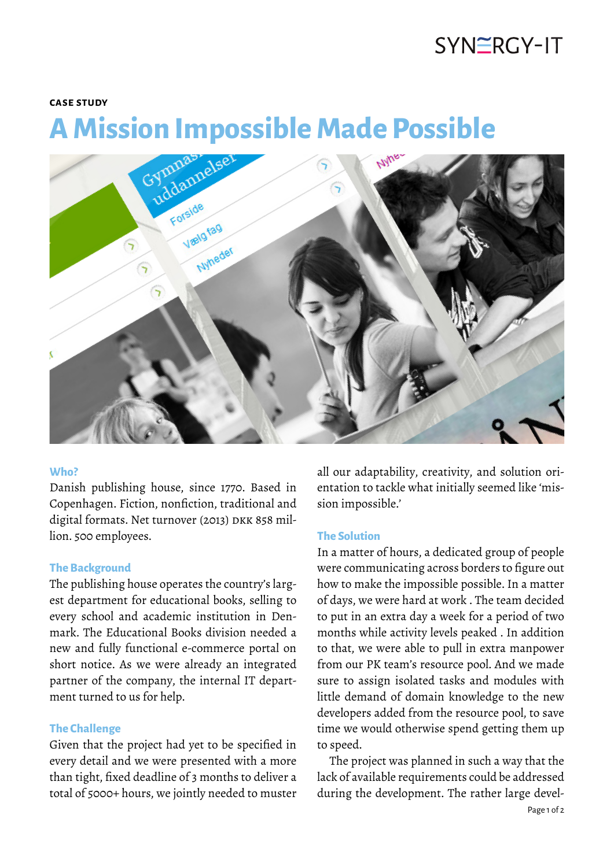# SYNERGY-IT

#### **case study**

# **A Mission Impossible Made Possible**



#### **Who?**

Danish publishing house, since 1770. Based in Copenhagen. Fiction, nonfiction, traditional and digital formats. Net turnover (2013) DKK 858 million. 500 employees.

#### **The Background**

The publishing house operates the country's largest department for educational books, selling to every school and academic institution in Denmark. The Educational Books division needed a new and fully functional e-commerce portal on short notice. As we were already an integrated partner of the company, the internal IT department turned to us for help.

### **The Challenge**

Given that the project had yet to be specified in every detail and we were presented with a more than tight, fixed deadline of 3 months to deliver a total of 5000+ hours, we jointly needed to muster

all our adaptability, creativity, and solution orientation to tackle what initially seemed like 'mission impossible.'

#### **The Solution**

In a matter of hours, a dedicated group of people were communicating across borders to figure out how to make the impossible possible. In a matter of days, we were hard at work . The team decided to put in an extra day a week for a period of two months while activity levels peaked . In addition to that, we were able to pull in extra manpower from our PK team's resource pool. And we made sure to assign isolated tasks and modules with little demand of domain knowledge to the new developers added from the resource pool, to save time we would otherwise spend getting them up to speed.

The project was planned in such a way that the lack of available requirements could be addressed during the development. The rather large devel